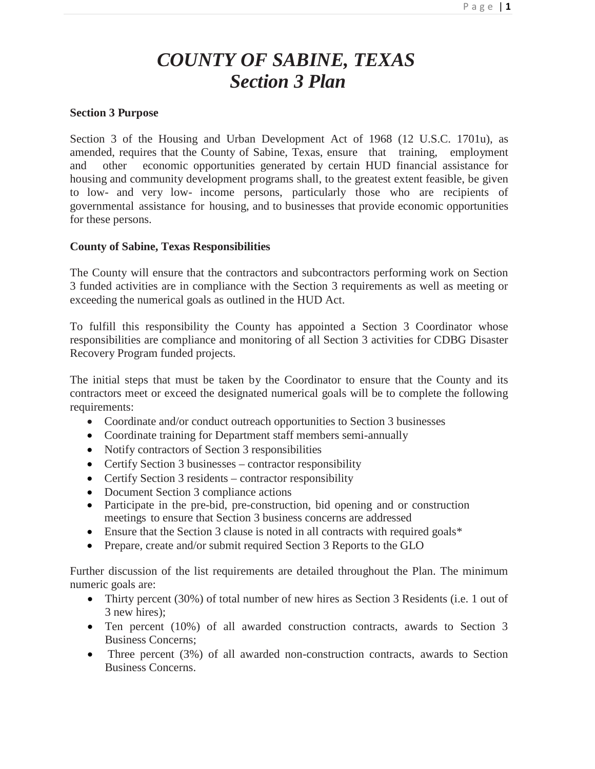# *COUNTY OF SABINE, TEXAS Section 3 Plan*

## **Section 3 Purpose**

Section 3 of the Housing and Urban Development Act of 1968 (12 U.S.C. 1701u), as amended, requires that the County of Sabine, Texas, ensure that training, employment and other economic opportunities generated by certain HUD financial assistance for housing and community development programs shall, to the greatest extent feasible, be given to low- and very low- income persons, particularly those who are recipients of governmental assistance for housing, and to businesses that provide economic opportunities for these persons.

## **County of Sabine, Texas Responsibilities**

The County will ensure that the contractors and subcontractors performing work on Section 3 funded activities are in compliance with the Section 3 requirements as well as meeting or exceeding the numerical goals as outlined in the HUD Act.

To fulfill this responsibility the County has appointed a Section 3 Coordinator whose responsibilities are compliance and monitoring of all Section 3 activities for CDBG Disaster Recovery Program funded projects.

The initial steps that must be taken by the Coordinator to ensure that the County and its contractors meet or exceed the designated numerical goals will be to complete the following requirements:

- Coordinate and/or conduct outreach opportunities to Section 3 businesses
- Coordinate training for Department staff members semi-annually
- Notify contractors of Section 3 responsibilities
- Certify Section 3 businesses contractor responsibility
- Certify Section 3 residents contractor responsibility
- Document Section 3 compliance actions
- Participate in the pre-bid, pre-construction, bid opening and or construction meetings to ensure that Section 3 business concerns are addressed
- Ensure that the Section 3 clause is noted in all contracts with required goals\*
- Prepare, create and/or submit required Section 3 Reports to the GLO

Further discussion of the list requirements are detailed throughout the Plan. The minimum numeric goals are:

- Thirty percent (30%) of total number of new hires as Section 3 Residents (i.e. 1 out of 3 new hires);
- Ten percent (10%) of all awarded construction contracts, awards to Section 3 Business Concerns;
- Three percent (3%) of all awarded non-construction contracts, awards to Section Business Concerns.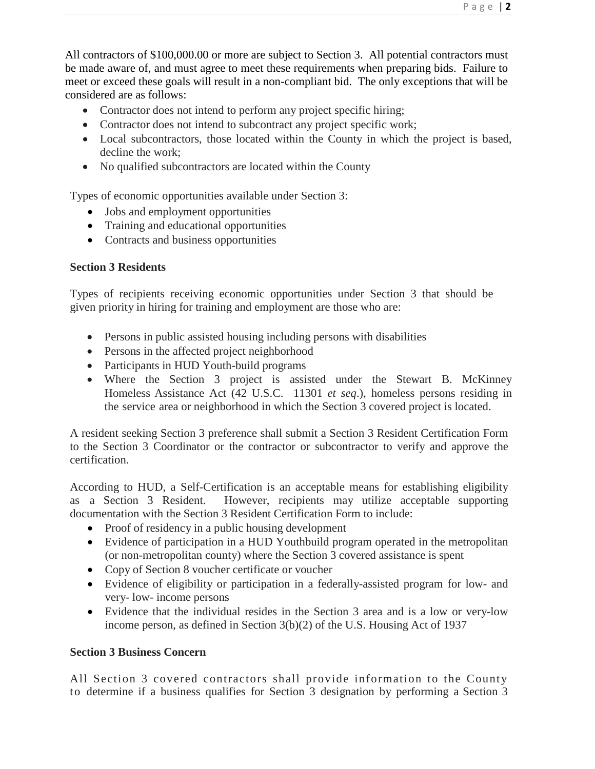All contractors of \$100,000.00 or more are subject to Section 3. All potential contractors must be made aware of, and must agree to meet these requirements when preparing bids. Failure to meet or exceed these goals will result in a non-compliant bid. The only exceptions that will be considered are as follows:

- Contractor does not intend to perform any project specific hiring;
- Contractor does not intend to subcontract any project specific work;
- Local subcontractors, those located within the County in which the project is based, decline the work;
- No qualified subcontractors are located within the County

Types of economic opportunities available under Section 3:

- Jobs and employment opportunities
- Training and educational opportunities
- Contracts and business opportunities

# **Section 3 Residents**

Types of recipients receiving economic opportunities under Section 3 that should be given priority in hiring for training and employment are those who are:

- Persons in public assisted housing including persons with disabilities
- Persons in the affected project neighborhood
- Participants in HUD Youth-build programs
- Where the Section 3 project is assisted under the Stewart B. McKinney Homeless Assistance Act (42 U.S.C. 11301 *et seq*.), homeless persons residing in the service area or neighborhood in which the Section 3 covered project is located.

A resident seeking Section 3 preference shall submit a Section 3 Resident Certification Form to the Section 3 Coordinator or the contractor or subcontractor to verify and approve the certification.

According to HUD, a Self-Certification is an acceptable means for establishing eligibility as a Section 3 Resident. However, recipients may utilize acceptable supporting documentation with the Section 3 Resident Certification Form to include:

- Proof of residency in a public housing development
- Evidence of participation in a HUD Youthbuild program operated in the metropolitan (or non-metropolitan county) where the Section 3 covered assistance is spent
- Copy of Section 8 voucher certificate or voucher
- Evidence of eligibility or participation in a federally-assisted program for low- and very- low- income persons
- Evidence that the individual resides in the Section 3 area and is a low or very-low income person, as defined in Section 3(b)(2) of the U.S. Housing Act of 1937

# **Section 3 Business Concern**

All Section 3 covered contractors shall provide information to the County to determine if a business qualifies for Section 3 designation by performing a Section 3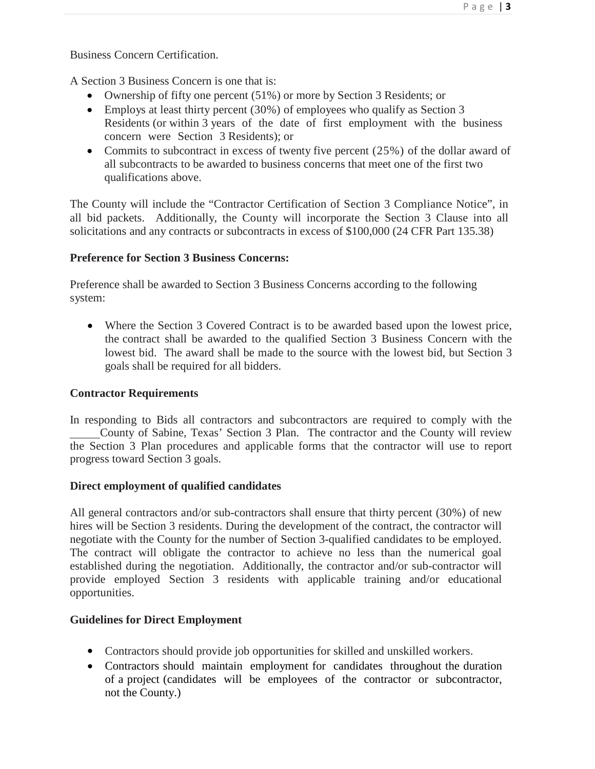Business Concern Certification.

A Section 3 Business Concern is one that is:

- Ownership of fifty one percent (51%) or more by Section 3 Residents; or
- Employs at least thirty percent (30%) of employees who qualify as Section 3 Residents (or within 3 years of the date of first employment with the business concern were Section 3 Residents); or
- Commits to subcontract in excess of twenty five percent (25%) of the dollar award of all subcontracts to be awarded to business concerns that meet one of the first two qualifications above.

The County will include the "Contractor Certification of Section 3 Compliance Notice", in all bid packets. Additionally, the County will incorporate the Section 3 Clause into all solicitations and any contracts or subcontracts in excess of \$100,000 (24 CFR Part 135.38)

## **Preference for Section 3 Business Concerns:**

Preference shall be awarded to Section 3 Business Concerns according to the following system:

• Where the Section 3 Covered Contract is to be awarded based upon the lowest price, the contract shall be awarded to the qualified Section 3 Business Concern with the lowest bid. The award shall be made to the source with the lowest bid, but Section 3 goals shall be required for all bidders.

## **Contractor Requirements**

In responding to Bids all contractors and subcontractors are required to comply with the County of Sabine, Texas' Section 3 Plan. The contractor and the County will review the Section 3 Plan procedures and applicable forms that the contractor will use to report progress toward Section 3 goals.

## **Direct employment of qualified candidates**

All general contractors and/or sub-contractors shall ensure that thirty percent (30%) of new hires will be Section 3 residents. During the development of the contract, the contractor will negotiate with the County for the number of Section 3-qualified candidates to be employed. The contract will obligate the contractor to achieve no less than the numerical goal established during the negotiation. Additionally, the contractor and/or sub-contractor will provide employed Section 3 residents with applicable training and/or educational opportunities.

## **Guidelines for Direct Employment**

- Contractors should provide job opportunities for skilled and unskilled workers.
- Contractors should maintain employment for candidates throughout the duration of a project (candidates will be employees of the contractor or subcontractor, not the County.)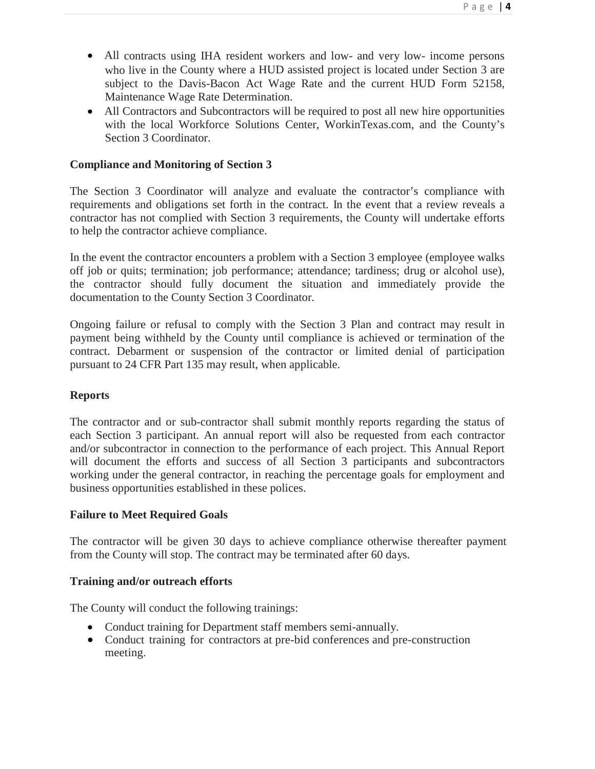- All contracts using IHA resident workers and low- and very low- income persons who live in the County where a HUD assisted project is located under Section 3 are subject to the Davis-Bacon Act Wage Rate and the current HUD Form 52158, Maintenance Wage Rate Determination.
- All Contractors and Subcontractors will be required to post all new hire opportunities with the local Workforce Solutions Center, WorkinTexas.com, and the County's Section 3 Coordinator.

## **Compliance and Monitoring of Section 3**

The Section 3 Coordinator will analyze and evaluate the contractor's compliance with requirements and obligations set forth in the contract. In the event that a review reveals a contractor has not complied with Section 3 requirements, the County will undertake efforts to help the contractor achieve compliance.

In the event the contractor encounters a problem with a Section 3 employee (employee walks off job or quits; termination; job performance; attendance; tardiness; drug or alcohol use), the contractor should fully document the situation and immediately provide the documentation to the County Section 3 Coordinator.

Ongoing failure or refusal to comply with the Section 3 Plan and contract may result in payment being withheld by the County until compliance is achieved or termination of the contract. Debarment or suspension of the contractor or limited denial of participation pursuant to 24 CFR Part 135 may result, when applicable.

#### **Reports**

The contractor and or sub-contractor shall submit monthly reports regarding the status of each Section 3 participant. An annual report will also be requested from each contractor and/or subcontractor in connection to the performance of each project. This Annual Report will document the efforts and success of all Section 3 participants and subcontractors working under the general contractor, in reaching the percentage goals for employment and business opportunities established in these polices.

#### **Failure to Meet Required Goals**

The contractor will be given 30 days to achieve compliance otherwise thereafter payment from the County will stop. The contract may be terminated after 60 days.

#### **Training and/or outreach efforts**

The County will conduct the following trainings:

- Conduct training for Department staff members semi-annually.
- Conduct training for contractors at pre-bid conferences and pre-construction meeting.